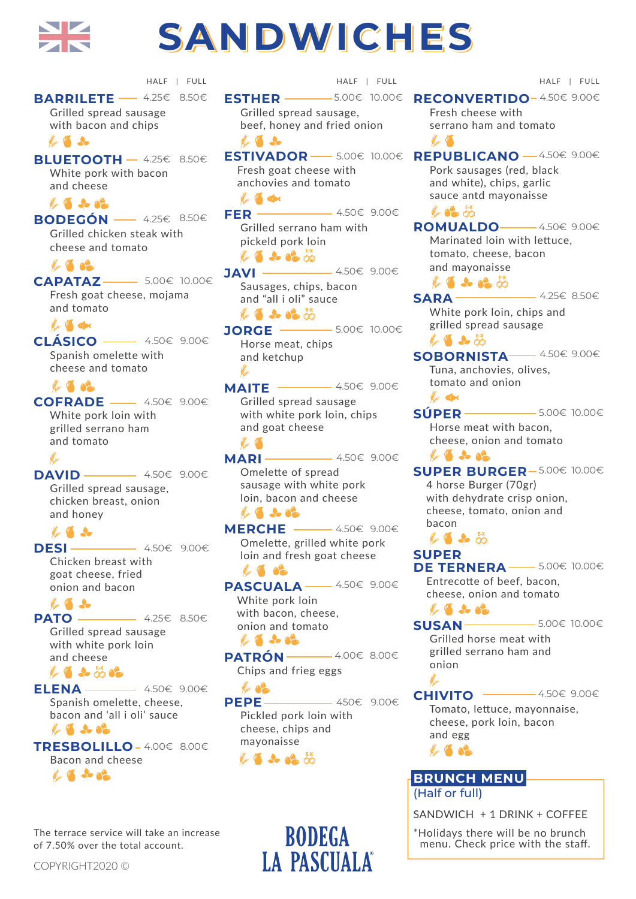

# **SANDWICHES SANDWICHES SANDWICHES**

**BARRILETE** — 4.25€ 8.50€ HALF | FULL HALF | FULL HALF | FULL

 Grilled spread sausage with bacon and chips the dealer

**BLUETOOTH** - 4.25€ 8.50€ White pork with bacon and cheese

### E 4 2 02

**BODEGÓN**  4.25€ 8.50€ Grilled chicken steak with cheese and tomato

**Part of CAPATAZ**  5.00€ 10.00€ Fresh goat cheese, mojama and tomato

**Comment of Comment** 

**CLÁSICO**  4.50€ 9.00€ Spanish omelette with cheese and tomato

## *Part 1000*

**COFRADE**  4.50€ 9.00€ White pork loin with

 grilled serrano ham and tomato

#### سيطلح **DAVID**  4.50€ 9.00€ Grilled spread sausage, chicken breast, onion and honey

the de **DESI** 4.50€ 9.00€ Chicken breast with goat cheese, fried

 onion and bacon  $\mathbb{Z}$ PATO **- 4.25€** 8.50€ Grilled spread sausage with white pork loin

 and cheese L 4 3 5 02 **ELENA**  4.50€ 9.00€ Spanish omelette, cheese,

 bacon and 'all i oli' sauce  $4.02$ 

**TRESBOLILLO**  4.00€ 8.00€ Bacon and cheese  $\mathbb{Z}$  de al

The terrace service will take an increase

of 7.50% over the total account.

**ESTHER**  Grilled spread sausage, beef, honey and fried onion 5.00€ 10.00€

 $\mathbb{Z}$  and  $\mathbb{Z}$  Fresh goat cheese with anchovies and tomato the dec

**FER**  9.00€ 4.50€ Grilled serrano ham with pickeld pork loin  $14.92%$ 

**JAVI**  9.00€ 4.50€ Sausages, chips, bacon and "all i oli" sauce LA & A

**JORGE ───** 5.00€ 10.00€ Horse meat, chips and ketchup

يمدي 9.00€ 4.50€ **MAITE**  Grilled spread sausage with white pork loin, chips and goat cheese

المتعلق المستنب **MARI**  9.00€ 4.50€ Omelette of spread sausage with white pork loin, bacon and cheese  $\mathbb{Z}$   $\rightarrow$   $\bullet$ 

**MERCHE**  9.00€ 4.50€ Omelette, grilled white pork loin and fresh goat cheese 

PASCUALA <sup>----- 4.50€ 9.00€</sup> White pork loin with bacon, cheese, onion and tomato E 4 2 02

PATRÓN <sup>→</sup> 4.00€ 8.00€ Chips and frieg eggs

the Company **PEPE**  9.00€ 450€ Pickled pork loin with cheese, chips and mayonaisse LA & A &

> **BODEGA LA PASCUALA®**

**RECONVERTIDO-4.50€ 9.00€**  Fresh cheese with serrano ham and tomato المتحص المستنقط **ESTIVADOR** — 5.00€ 10.00€ REPUBLICANO — 4.50€ 9.00€ Pork sausages (red, black and white), chips, garlic sauce antd mayonaisse *L* 62 50 **ROMUALDO** <u><del></u> 4.50€ 9.00€</u></del> Marinated loin with lettuce, tomato, cheese, bacon and mayonaisse LI & BO 8.50€ 4.25€ **SARA**  White pork loin, chips and grilled spread sausage  $\mathscr{L}$  . As  $\mathscr{D}$ **SOBORNISTA** <u>→ 4.50€ 9.00€</u> Tuna, anchovies, olives, tomato and onion **Comment Office SÚPER**  10.00€ 5.00€ Horse meat with bacon, cheese, onion and tomato  $4.4.82$ **SUPER BURGER-5.00€ 10.00€**  4 horse Burger (70gr) with dehydrate crisp onion. cheese, tomato, onion and bacon  $\mathbb{Z}$  4  $\mathbb{Z}$ **SUPER DE TERNERA** <sup>−−</sup> 5.00€ 10.00€ Entrecotte of beef, bacon, cheese, onion and tomato  $\sqrt{2}$   $\sqrt{2}$ **SUSAN**  10.00€ 5.00€ Grilled horse meat with grilled serrano ham and onion بفطيطهم 4.50€ 9.00€ **CHIVITO**  Tomato, lettuce, mayonnaise, cheese, pork loin, bacon and egg **14 500 BRUNCH MENU** 

(Half or full)

SANDWICH + 1 DRINK + COFFEE

\*Holidays there will be no brunch menu. Check price with the staff.

COPYRIGHT2020 ©